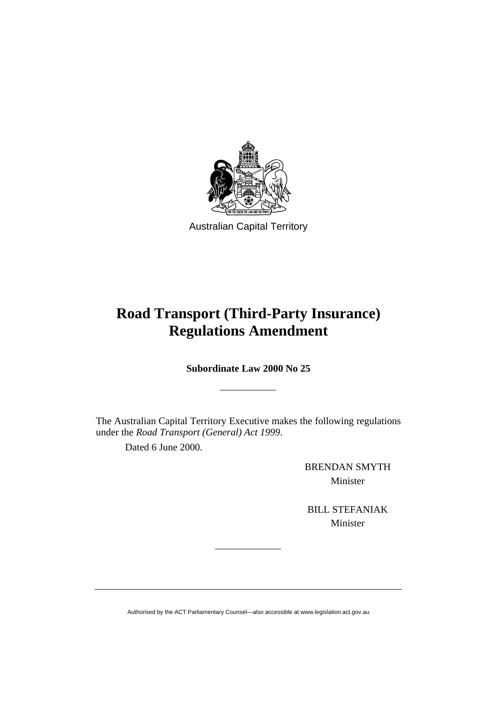

Australian Capital Territory

# **Road Transport (Third-Party Insurance) Regulations Amendment**

**Subordinate Law 2000 No 25** 

The Australian Capital Territory Executive makes the following regulations under the *Road Transport (General) Act 1999*.

Dated 6 June 2000.

BRENDAN SMYTH Minister

BILL STEFANIAK Minister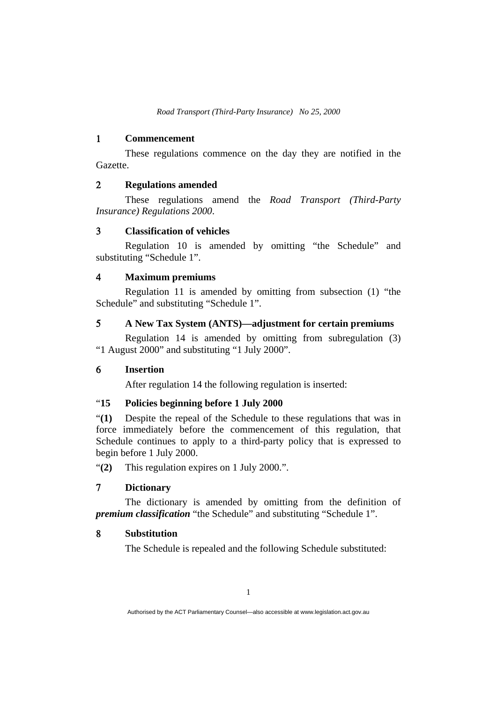*Road Transport (Third-Party Insurance) No 25, 2000* 

### 1 **Commencement**

 These regulations commence on the day they are notified in the Gazette.

### 2 **Regulations amended**

These regulations amend the *Road Transport (Third-Party Insurance) Regulations 2000*.

### 3 **Classification of vehicles**

 Regulation 10 is amended by omitting "the Schedule" and substituting "Schedule 1".

#### 4 **Maximum premiums**

 Regulation 11 is amended by omitting from subsection (1) "the Schedule" and substituting "Schedule 1".

#### 5 **A New Tax System (ANTS)—adjustment for certain premiums**

 Regulation 14 is amended by omitting from subregulation (3) "1 August 2000" and substituting "1 July 2000".

### 6 **Insertion**

After regulation 14 the following regulation is inserted:

#### "**15 Policies beginning before 1 July 2000**

"**(1)** Despite the repeal of the Schedule to these regulations that was in force immediately before the commencement of this regulation, that Schedule continues to apply to a third-party policy that is expressed to begin before 1 July 2000.

"**(2)** This regulation expires on 1 July 2000.".

### 7 **Dictionary**

 The dictionary is amended by omitting from the definition of *premium classification* "the Schedule" and substituting "Schedule 1".

### 8 **Substitution**

The Schedule is repealed and the following Schedule substituted: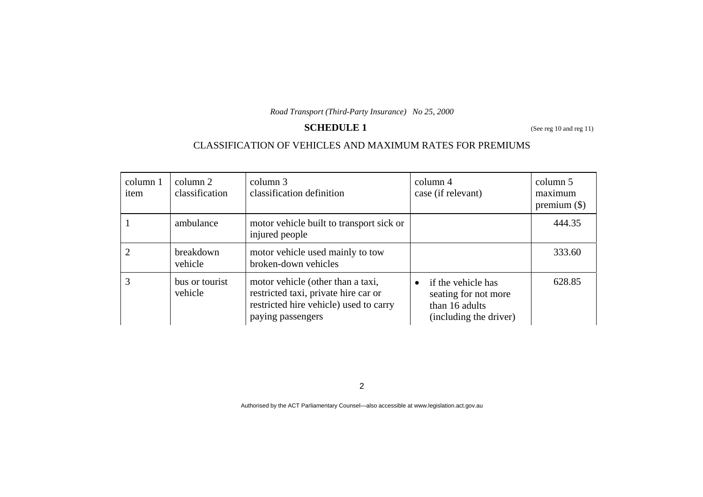*Road Transport (Third-Party Insurance) No 25, 2000* 

# **SCHEDULE 1** (See reg 10 and reg 11)

## CLASSIFICATION OF VEHICLES AND MAXIMUM RATES FOR PREMIUMS

| column 1<br>item | column 2<br>classification | column 3<br>classification definition                                                                                                    | column 4<br>case (if relevant)                                                                      | column 5<br>maximum<br>premium $(\$)$ |
|------------------|----------------------------|------------------------------------------------------------------------------------------------------------------------------------------|-----------------------------------------------------------------------------------------------------|---------------------------------------|
|                  | ambulance                  | motor vehicle built to transport sick or<br>injured people                                                                               |                                                                                                     | 444.35                                |
|                  | breakdown<br>vehicle       | motor vehicle used mainly to tow<br>broken-down vehicles                                                                                 |                                                                                                     | 333.60                                |
| 3                | bus or tourist<br>vehicle  | motor vehicle (other than a taxi,<br>restricted taxi, private hire car or<br>restricted hire vehicle) used to carry<br>paying passengers | if the vehicle has<br>$\bullet$<br>seating for not more<br>than 16 adults<br>(including the driver) | 628.85                                |

2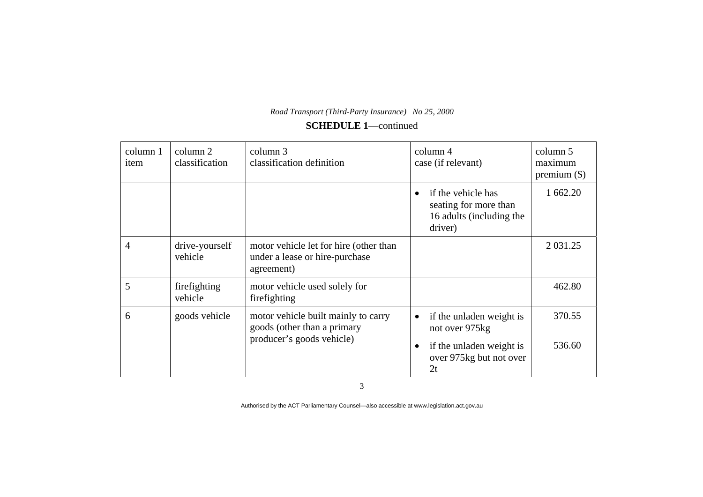| column 1<br>item | column 2<br>classification | column 3<br>classification definition                                                  | column 4<br>case (if relevant)                                                     | column 5<br>maximum<br>premium $(\$)$ |
|------------------|----------------------------|----------------------------------------------------------------------------------------|------------------------------------------------------------------------------------|---------------------------------------|
|                  |                            |                                                                                        | if the vehicle has<br>seating for more than<br>16 adults (including the<br>driver) | 1 662.20                              |
| $\overline{4}$   | drive-yourself<br>vehicle  | motor vehicle let for hire (other than<br>under a lease or hire-purchase<br>agreement) |                                                                                    | 2 0 3 1 . 2 5                         |
| 5                | firefighting<br>vehicle    | motor vehicle used solely for<br>firefighting                                          |                                                                                    | 462.80                                |
| 6                | goods vehicle              | motor vehicle built mainly to carry<br>goods (other than a primary                     | if the unladen weight is<br>$\bullet$<br>not over 975kg                            | 370.55                                |
|                  |                            | producer's goods vehicle)                                                              | if the unladen weight is<br>over 975kg but not over<br>2t                          | 536.60                                |

Authorised by the ACT Parliamentary Counsel—also accessible at www.legislation.act.gov.au

3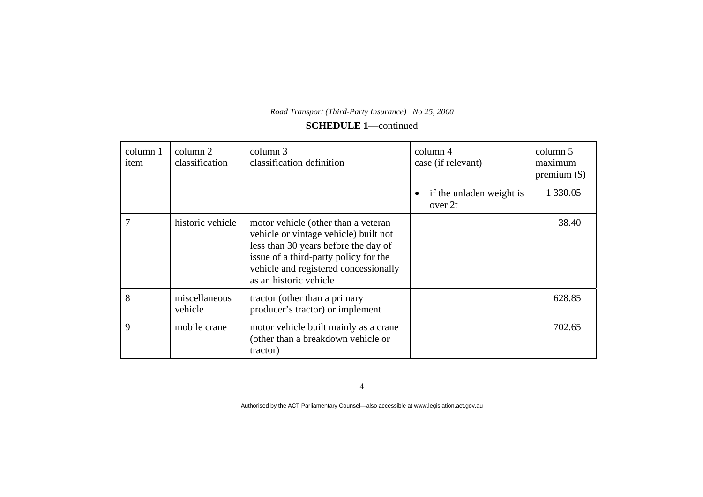| column 1<br>item | column 2<br>classification | column 3<br>classification definition                                                                                                                                                                                            | column 4<br>case (if relevant)      | column 5<br>maximum<br>premium $(\$)$ |
|------------------|----------------------------|----------------------------------------------------------------------------------------------------------------------------------------------------------------------------------------------------------------------------------|-------------------------------------|---------------------------------------|
|                  |                            |                                                                                                                                                                                                                                  | if the unladen weight is<br>over 2t | 1 3 3 0 . 0 5                         |
| 7                | historic vehicle           | motor vehicle (other than a veteran<br>vehicle or vintage vehicle) built not<br>less than 30 years before the day of<br>issue of a third-party policy for the<br>vehicle and registered concessionally<br>as an historic vehicle |                                     | 38.40                                 |
| 8                | miscellaneous<br>vehicle   | tractor (other than a primary<br>producer's tractor) or implement                                                                                                                                                                |                                     | 628.85                                |
| 9                | mobile crane               | motor vehicle built mainly as a crane<br>(other than a breakdown vehicle or<br>tractor)                                                                                                                                          |                                     | 702.65                                |

4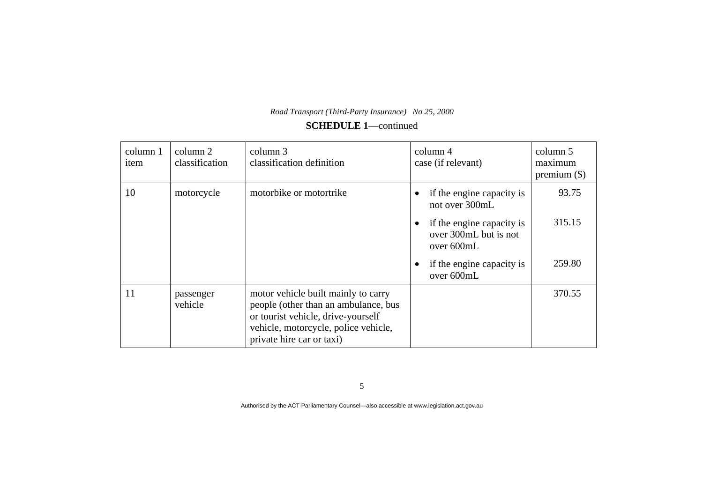| Road Transport (Third-Party Insurance) No 25, 2000 |  |
|----------------------------------------------------|--|
| <b>SCHEDULE 1</b> —continued                       |  |

| column 1<br>item | column 2<br>classification | column 3<br>classification definition                                                                                                                                                  | column 4<br>case (if relevant)                                                                                  | column 5<br>maximum<br>premium $(\$)$ |
|------------------|----------------------------|----------------------------------------------------------------------------------------------------------------------------------------------------------------------------------------|-----------------------------------------------------------------------------------------------------------------|---------------------------------------|
| 10               | motorcycle                 | motorbike or motortrike                                                                                                                                                                | if the engine capacity is<br>not over 300mL<br>if the engine capacity is<br>over 300mL but is not<br>over 600mL | 93.75<br>315.15                       |
|                  |                            |                                                                                                                                                                                        | if the engine capacity is<br>over 600mL                                                                         | 259.80                                |
| 11               | passenger<br>vehicle       | motor vehicle built mainly to carry<br>people (other than an ambulance, bus<br>or tourist vehicle, drive-yourself<br>vehicle, motorcycle, police vehicle,<br>private hire car or taxi) |                                                                                                                 | 370.55                                |

5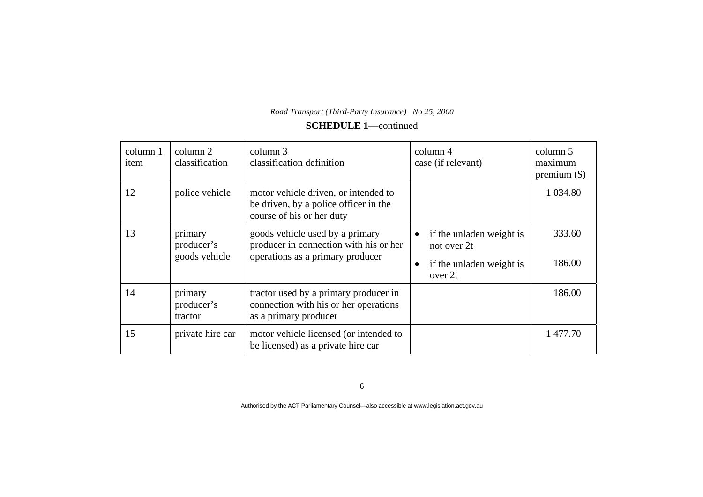| column 1<br>item | column 2<br>classification             | column 3<br>classification definition                                                                         | column 4<br>case (if relevant)                                                              | column 5<br>maximum<br>premium $(\$)$ |
|------------------|----------------------------------------|---------------------------------------------------------------------------------------------------------------|---------------------------------------------------------------------------------------------|---------------------------------------|
| 12               | police vehicle                         | motor vehicle driven, or intended to<br>be driven, by a police officer in the<br>course of his or her duty    |                                                                                             | 1 0 34.80                             |
| 13               | primary<br>producer's<br>goods vehicle | goods vehicle used by a primary<br>producer in connection with his or her<br>operations as a primary producer | if the unladen weight is<br>$\bullet$<br>not over 2t<br>if the unladen weight is<br>over 2t | 333.60<br>186.00                      |
| 14               | primary<br>producer's<br>tractor       | tractor used by a primary producer in<br>connection with his or her operations<br>as a primary producer       |                                                                                             | 186.00                                |
| 15               | private hire car                       | motor vehicle licensed (or intended to<br>be licensed) as a private hire car                                  |                                                                                             | 1 477.70                              |

6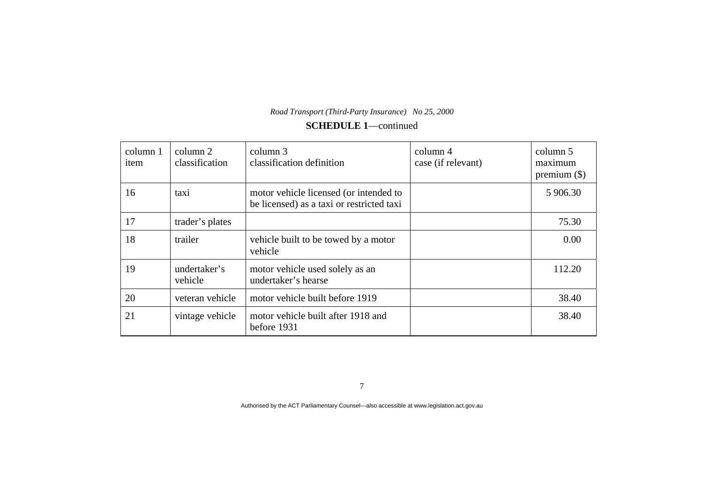| column 1<br>item | column 2<br>classification | column 3<br>classification definition                                               | column 4<br>case (if relevant) | column 5<br>maximum<br>premium $(\$)$ |
|------------------|----------------------------|-------------------------------------------------------------------------------------|--------------------------------|---------------------------------------|
| 16               | taxi                       | motor vehicle licensed (or intended to<br>be licensed) as a taxi or restricted taxi |                                | 5 906.30                              |
| 17               | trader's plates            |                                                                                     |                                | 75.30                                 |
| 18               | trailer                    | vehicle built to be towed by a motor<br>vehicle                                     |                                | 0.00                                  |
| 19               | undertaker's<br>vehicle    | motor vehicle used solely as an<br>undertaker's hearse                              |                                | 112.20                                |
| 20               | veteran vehicle            | motor vehicle built before 1919                                                     |                                | 38.40                                 |
| 21               | vintage vehicle            | motor vehicle built after 1918 and<br>before 1931                                   |                                | 38.40                                 |

7